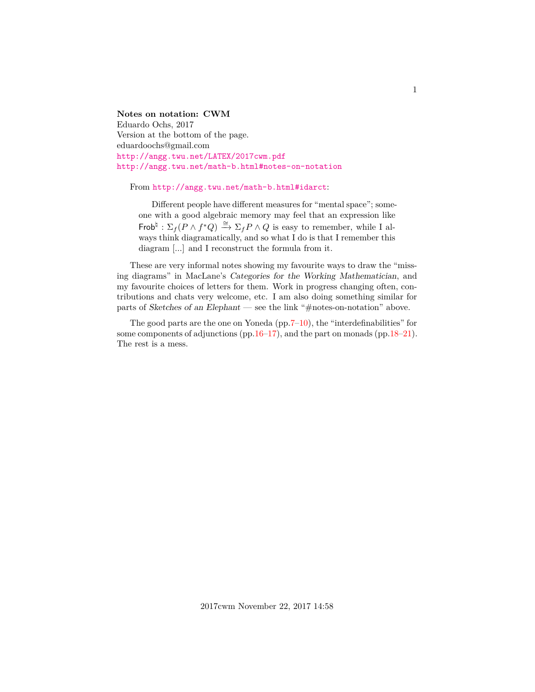<span id="page-0-0"></span>**Notes on notation: CWM** Eduardo Ochs, 2017 Version at the bottom of the page. eduardoochs@gmail.com <http://angg.twu.net/LATEX/2017cwm.pdf> <http://angg.twu.net/math-b.html#notes-on-notation>

From <http://angg.twu.net/math-b.html#idarct>:

Different people have different measures for "mental space"; someone with a good algebraic memory may feel that an expression like Frob<sup> $\sharp$ </sup> :  $\Sigma_f(P \wedge f^*Q) \stackrel{\cong}{\to} \Sigma_f P \wedge Q$  is easy to remember, while I always think diagramatically, and so what I do is that I remember this diagram [...] and I reconstruct the formula from it.

These are very informal notes showing my favourite ways to draw the "missing diagrams" in MacLane's Categories for the Working Mathematician, and my favourite choices of letters for them. Work in progress changing often, contributions and chats very welcome, etc. I am also doing something similar for parts of Sketches of an Elephant — see the link "#notes-on-notation" above.

The good parts are the one on Yoneda ( $pp.7–10$ ), the "interdefinabilities" for some components of adjunctions (pp[.16–17\)](#page-0-0), and the part on monads (pp[.18–21\)](#page-0-0). The rest is a mess.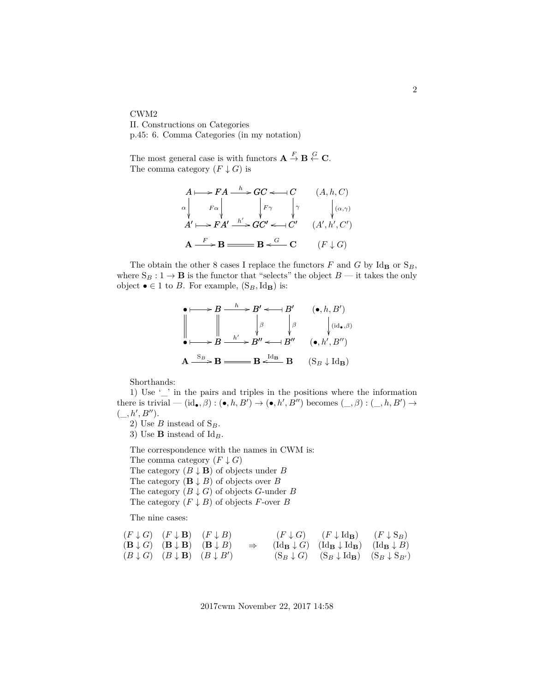CWM2 II. Constructions on Categories p.45: 6. Comma Categories (in my notation)

The most general case is with functors  $\mathbf{A} \stackrel{F}{\to} \mathbf{B} \stackrel{G}{\leftarrow} \mathbf{C}$ . The comma category  $(F \downarrow G)$  is

$$
A \longmapsto FA \xrightarrow{h} GC \longleftarrow{} C
$$
  
\n
$$
\alpha \downarrow \qquad F\alpha \downarrow \qquad F\gamma \qquad \downarrow \gamma
$$
  
\n
$$
A' \longmapsto FA' \xrightarrow{h'} GC' \longleftarrow{} C'
$$
  
\n
$$
(A, h, C)
$$
  
\n
$$
A' \longmapsto FA' \xrightarrow{h'} GC' \longleftarrow{} C'
$$
  
\n
$$
(A', h', C')
$$
  
\n
$$
A \xrightarrow{F} B \xrightarrow{G} B \longleftarrow G
$$
  
\n
$$
(F \downarrow G)
$$

The obtain the other 8 cases I replace the functors  $F$  and  $G$  by Id<sub>B</sub> or  $S_B$ , where  $S_B: 1 \to \mathbf{B}$  is the functor that "selects" the object  $B$  — it takes the only object  $\bullet$  ∈ 1 to *B*. For example,  $(S_B, Id_B)$  is:

$$
\begin{array}{ccc}\n\bullet & \longrightarrow B \longrightarrow B' \longleftarrow B' & (\bullet, h, B') \\
\parallel & \parallel & \parallel & \parallel \\
\downarrow & \parallel & \downarrow & \parallel \\
\downarrow & \parallel & \downarrow & \downarrow \\
\downarrow & \downarrow & \downarrow & \downarrow \\
\downarrow & \downarrow & \downarrow & \downarrow \\
\downarrow & \downarrow & \downarrow & \downarrow \\
\downarrow & \downarrow & \downarrow & \downarrow \\
\downarrow & \downarrow & \downarrow & \downarrow \\
\downarrow & \downarrow & \downarrow & \downarrow \\
\downarrow & \downarrow & \downarrow & \downarrow \\
\downarrow & \downarrow & \downarrow & \downarrow \\
\downarrow & \downarrow & \downarrow & \downarrow \\
\downarrow & \downarrow & \downarrow & \downarrow \\
\downarrow & \downarrow & \downarrow & \downarrow \\
\downarrow & \downarrow & \downarrow & \downarrow \\
\downarrow & \downarrow & \downarrow & \downarrow \\
\downarrow & \downarrow & \downarrow & \downarrow \\
\downarrow & \downarrow & \downarrow & \downarrow \\
\downarrow & \downarrow & \downarrow & \downarrow \\
\downarrow & \downarrow & \downarrow & \downarrow \\
\downarrow & \downarrow & \downarrow & \downarrow \\
\downarrow & \downarrow & \downarrow & \downarrow \\
\downarrow & \downarrow & \downarrow & \downarrow \\
\downarrow & \downarrow & \downarrow & \downarrow \\
\downarrow & \downarrow & \downarrow & \downarrow \\
\downarrow & \downarrow & \downarrow & \downarrow \\
\downarrow & \downarrow & \downarrow & \downarrow \\
\downarrow & \downarrow & \downarrow & \downarrow \\
\downarrow & \downarrow & \downarrow & \downarrow \\
\downarrow & \downarrow & \downarrow & \downarrow \\
\downarrow & \downarrow & \downarrow & \downarrow \\
\downarrow & \downarrow & \downarrow & \downarrow \\
\downarrow & \downarrow & \downarrow & \downarrow \\
\downarrow & \downarrow & \downarrow & \downarrow \\
\downarrow & \downarrow & \downarrow & \downarrow \\
\downarrow & \downarrow & \downarrow & \downarrow \\
\downarrow & \downarrow & \downarrow & \downarrow \\
\downarrow & \downarrow & \downarrow & \downarrow \\
\downarrow & \downarrow & \downarrow & \downarrow \\
\downarrow & \downarrow & \downarrow & \downarrow \\
\downarrow & \downarrow & \downarrow & \downarrow \\
\downarrow & \downarrow & \downarrow & \downarrow \\
\downarrow & \downarrow & \downarrow & \downarrow \\
\downarrow & \downarrow & \downarrow & \downarrow \\
\downarrow & \downarrow & \downarrow & \downarrow \\
\downarrow & \downarrow & \downarrow & \down
$$

Shorthands:

1) Use '\_' in the pairs and triples in the positions where the information there is trivial  $- (\mathrm{id}_{\bullet}, \beta) : (\bullet, h, B') \to (\bullet, h', B'')$  becomes  $(\_, \beta) : (\_, h, B') \to$  $($ ,  $h', B'')$ .

2) Use  $B$  instead of  $S_B$ .

3) Use **B** instead of  $Id_B$ .

The correspondence with the names in CWM is: The comma category  $(F \downarrow G)$ The category  $(B \downarrow \mathbf{B})$  of objects under B The category  $(\mathbf{B} \downarrow B)$  of objects over B The category  $(B \downarrow G)$  of objects G-under B

The category  $(F \downarrow B)$  of objects F-over B

The nine cases:

$$
\begin{array}{ccccccccc}\n(F \downarrow G) & (F \downarrow B) & (F \downarrow B) & & (F \downarrow G) & (F \downarrow G) & (F \downarrow \text{Id}_{B}) & (F \downarrow S_{B}) \\
(B \downarrow G) & (B \downarrow B) & (B \downarrow B) & & & \text{(Id}_{B} \downarrow G) & (\text{Id}_{B} \downarrow \text{Id}_{B}) & (\text{Id}_{B} \downarrow B) \\
(B \downarrow G) & (B \downarrow B) & (B \downarrow B') & & & (S_{B} \downarrow G) & (S_{B} \downarrow \text{Id}_{B}) & (S_{B} \downarrow S_{B'})\n\end{array}
$$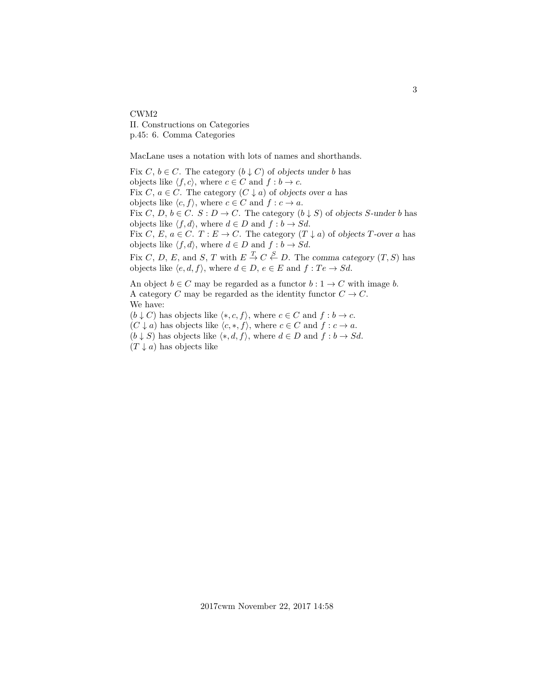CWM2 II. Constructions on Categories p.45: 6. Comma Categories

MacLane uses a notation with lots of names and shorthands.

Fix  $C, b \in C$ . The category  $(b \downarrow C)$  of objects under b has objects like  $\langle f, c \rangle$ , where  $c \in C$  and  $f : b \to c$ . Fix C,  $a \in C$ . The category  $(C \downarrow a)$  of objects over a has objects like  $\langle c, f \rangle$ , where  $c \in C$  and  $f : c \to a$ . Fix C, D,  $b \in C$ .  $S : D \to C$ . The category  $(b \downarrow S)$  of objects S-under b has objects like  $\langle f, d \rangle$ , where  $d \in D$  and  $f : b \to Sd$ . Fix C, E,  $a \in C$ .  $T : E \to C$ . The category  $(T \downarrow a)$  of objects T-over a has objects like  $\langle f, d \rangle$ , where  $d \in D$  and  $f : b \to Sd$ . Fix C, D, E, and S, T with  $E \stackrel{T}{\rightarrow} C \stackrel{S}{\leftarrow} D$ . The comma category  $(T, S)$  has objects like  $\langle e, d, f \rangle$ , where  $d \in D$ ,  $e \in E$  and  $f : Te \rightarrow Sd$ . An object  $b \in C$  may be regarded as a functor  $b: 1 \to C$  with image b. A category C may be regarded as the identity functor  $C \to C$ . We have:

 $(b \downarrow C)$  has objects like  $\langle *, c, f \rangle$ , where  $c \in C$  and  $f : b \to c$ .  $(C \downarrow a)$  has objects like  $\langle c, *, f \rangle$ , where  $c \in C$  and  $f : c \to a$ .  $(b \downarrow S)$  has objects like  $\langle *, d, f \rangle$ , where  $d \in D$  and  $f : b \to Sd$ .  $(T \downarrow a)$  has objects like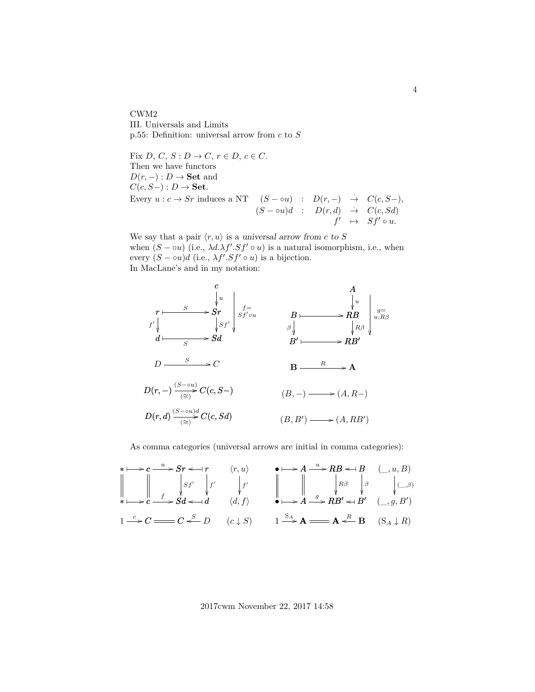CWM2 III. Universals and Limits p.55: Definition: universal arrow from  $c$  to  $S$ 

Fix D, C, S :  $D \to C$ ,  $r \in D$ ,  $c \in C$ . Then we have functors  $D(r, -) : D \to \mathbf{Set}$  and  $C(c, S-) : D \to \mathbf{Set}.$ Every  $u : c \to Sr$  induces a NT  $(S - \circ u) : D(r, -) \to C(c, S-),$  $(S - \circ u)d$  :  $D(r, d) \rightarrow C(c, Sd)$  $f' \rightarrow Sf' \circ u.$ 

We say that a pair  $\langle r, u \rangle$  is a universal arrow from c to S when  $(S - \infty u)$  (i.e.,  $\lambda d. \lambda f'. Sf' \circ u$ ) is a natural isomorphism, i.e., when every  $(S - \circ u)d$  (i.e.,  $\lambda f'.Sf' \circ u$ ) is a bijection. In MacLane's and in my notation:



As comma categories (universal arrows are initial in comma categories):

∗ c ✤ /c Sr <sup>u</sup> / r o ✤ ∗ c ✤ /c Sd <sup>f</sup> /Sd d o ✤ Sf<sup>0</sup> f 0 1 C <sup>c</sup> /C C D o S hr, ui hd, fi f 0 (c ↓ S) • A ✤ /A RB <sup>u</sup> / B o ✤ • A ✤ /A RB<sup>0</sup> g / o B<sup>0</sup> ✤ Rβ β 1 A <sup>S</sup><sup>A</sup> /A A B <sup>o</sup><sup>R</sup> (\_, u, B) (\_, g, B<sup>0</sup> ) (\_,β) (S<sup>A</sup> ↓ R)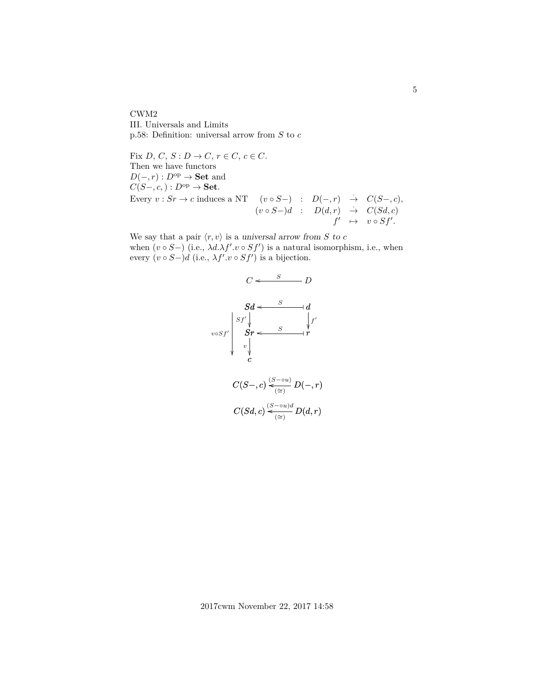CWM2 III. Universals and Limits p.58: Definition: universal arrow from  $S$  to  $c$ 

Fix D, C, S :  $D \to C$ ,  $r \in C$ ,  $c \in C$ . Then we have functors  $D(-, r) : D^{\text{op}} \to \textbf{Set}$  and  $C(S-, c,): D^{\rm op} \to \bf{Set}.$ Every  $v : Sr \to c$  induces a NT  $(v \circ S-) : D(-, r) \to C(S-, c)$ ,  $(v \circ S-)d : D(d,r) \rightarrow C(Sd,c)$  $f' \rightarrow v \circ Sf'.$ 

We say that a pair  $\langle r, v \rangle$  is a universal arrow from S to c when  $(v \circ S-)$  (i.e.,  $\lambda d.\lambda f'.v \circ Sf'$ ) is a natural isomorphism, i.e., when every  $(v \circ S-)d$  (i.e.,  $\lambda f'.v \circ Sf'$ ) is a bijection.



5

2017cwm November 22, 2017 14:58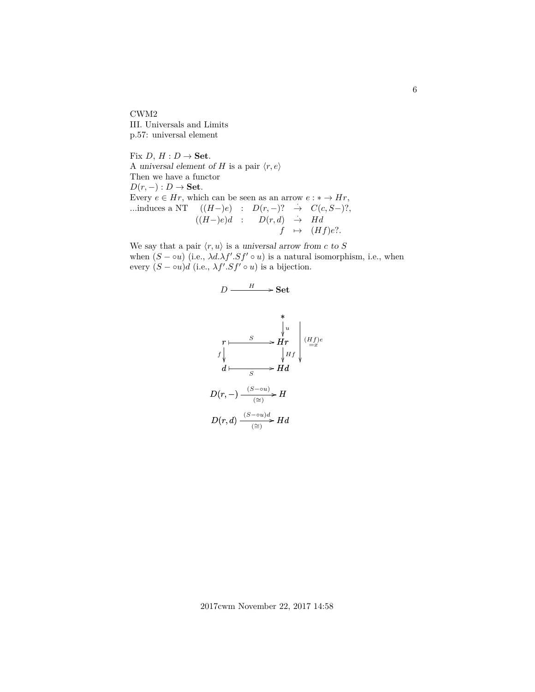CWM2 III. Universals and Limits p.57: universal element

Fix  $D, H: D \rightarrow$  Set. A universal element of H is a pair  $\langle r, e \rangle$ Then we have a functor  $D(r, -) : D \to \mathbf{Set}.$ Every  $e \in Hr$ , which can be seen as an arrow  $e : * \to Hr$ , ...induces a NT  $((H-)e)$  :  $D(r,-)?$   $\rightarrow$   $C(c, S-)$ ?,  $((H-)e)d$  :  $D(r,d) \rightarrow Hd$  $f \mapsto (Hf)e$ ?.

We say that a pair  $\langle r, u \rangle$  is a universal arrow from c to S when  $(S - \infty u)$  (i.e.,  $\lambda d. \lambda f'. Sf' \circ u$ ) is a natural isomorphism, i.e., when every  $(S - \circ u)d$  (i.e.,  $\lambda f'.Sf' \circ u)$  is a bijection.

$$
D \xrightarrow{H} \text{Set}
$$
\n
$$
r \xrightarrow{\text{Set}}
$$
\n
$$
r \xrightarrow{\text{Set}}
$$
\n
$$
r \xrightarrow{\text{Set}}
$$
\n
$$
Hr
$$
\n
$$
f \downarrow \text{Hf}
$$
\n
$$
d \xrightarrow{\text{Set}}
$$
\n
$$
D(r, -) \xrightarrow{\text{(S-ou)}} H
$$
\n
$$
D(r, d) \xrightarrow{\text{(S-ou)}}
$$
\n
$$
Hd
$$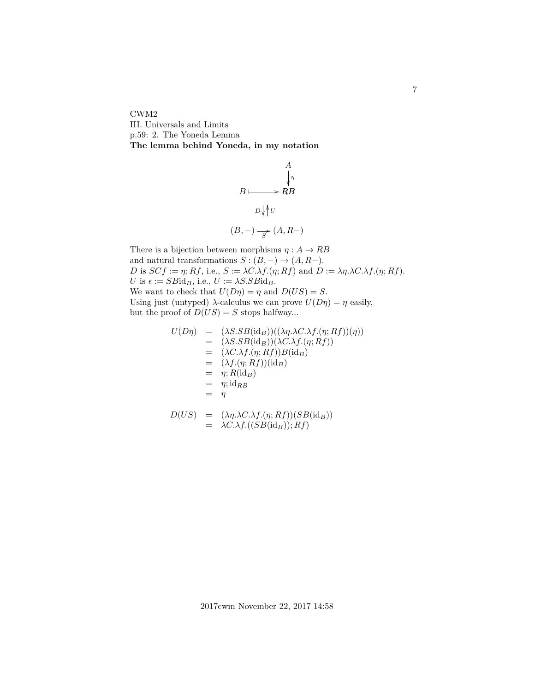CWM2 III. Universals and Limits p.59: 2. The Yoneda Lemma **The lemma behind Yoneda, in my notation**

$$
B \longmapsto RB
$$
  
\n
$$
B \longmapsto RB
$$
  
\n
$$
D \sqrt{\Uparrow} U
$$
  
\n
$$
(B, -) \xrightarrow[S^{\sim} (A, R-)
$$

A

There is a bijection between morphisms  $\eta : A \to RB$ and natural transformations  $S : (B, -) \to (A, R-)$ . D is  $SCf := \eta$ ; Rf, i.e.,  $S := \lambda C.\lambda f.(\eta; Rf)$  and  $D := \lambda \eta.\lambda C.\lambda f.(\eta; Rf)$ . U is  $\epsilon := SBid_B$ , i.e.,  $U := \lambda S.SBid_B$ . We want to check that  $U(D\eta) = \eta$  and  $D(US) = S$ . Using just (untyped)  $\lambda$ -calculus we can prove  $U(D\eta) = \eta$  easily, but the proof of  $D(US) = S$  stops halfway...

$$
U(D\eta) = (\lambda S.SB(\mathrm{id}_B))((\lambda \eta.\lambda C.\lambda f.(\eta; Rf))(\eta))
$$
  
\n
$$
= (\lambda S.SB(\mathrm{id}_B))(\lambda C.\lambda f.(\eta; Rf))
$$
  
\n
$$
= (\lambda C.\lambda f.(\eta; Rf))B(\mathrm{id}_B)
$$
  
\n
$$
= (\lambda f.(\eta; Rf))(\mathrm{id}_B)
$$
  
\n
$$
= \eta; R(\mathrm{id}_B)
$$
  
\n
$$
= \eta; \mathrm{id}_{RB}
$$
  
\n
$$
= \eta
$$

$$
D(US) = (\lambda \eta . \lambda C. \lambda f.(\eta; Rf))(SB(\mathrm{id}_B))
$$
  
= \lambda C. \lambda f.((SB(\mathrm{id}\_B)); Rf)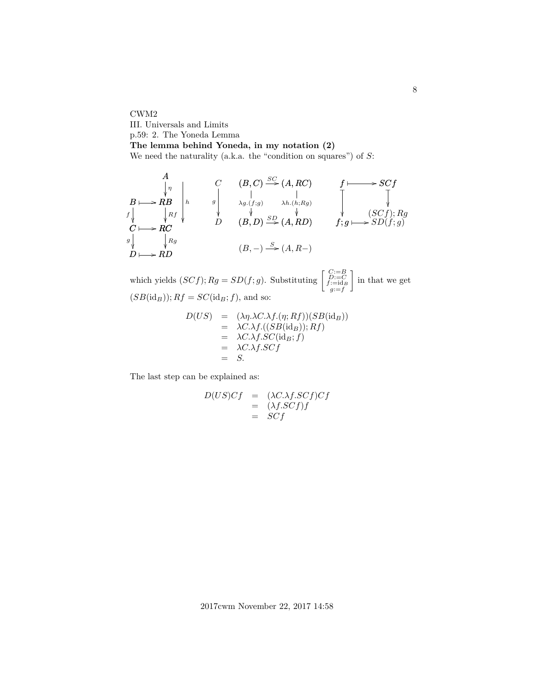CWM2 III. Universals and Limits p.59: 2. The Yoneda Lemma **The lemma behind Yoneda, in my notation (2)** We need the naturality (a.k.a. the "condition on squares") of  $S$ :

B RB ✤ / C RC ✤ / D RD ✤ / B C f D g A η Rf Rg h (B, −) (A, R−) <sup>S</sup> / C D g (B, C) (A, RC) SC ) / (B, D) λg.(f;g) (A, RD) λh.(h;Rg) ) SD / f SCf ✤ / (SCf); Rg ❴ f f; g ❴ g SD(f; g) ✤ /

which yields  $(SCf)$ ;  $Rg = SD(f; g)$ . Substituting  $\begin{bmatrix} C:=B \\ f:=cl_B \\ f:=cl_B \\ g:=f \end{bmatrix}$  in that we get  $(SB(\mathrm{id}_B)); Rf = SC(\mathrm{id}_B; f)$ , and so:

$$
D(US) = (\lambda \eta. \lambda C. \lambda f.(\eta; Rf))(SB(\mathrm{id}_B))
$$
  
=  $\lambda C. \lambda f. ((SB(\mathrm{id}_B)); Rf)$   
=  $\lambda C. \lambda f. SC(\mathrm{id}_B; f)$   
=  $\lambda C. \lambda f. SCf$   
= S.

The last step can be explained as:

$$
D(US)Cf = (\lambda C.\lambda f.SCf)Cf
$$
  
= (\lambda f.SCf)f  
= SCf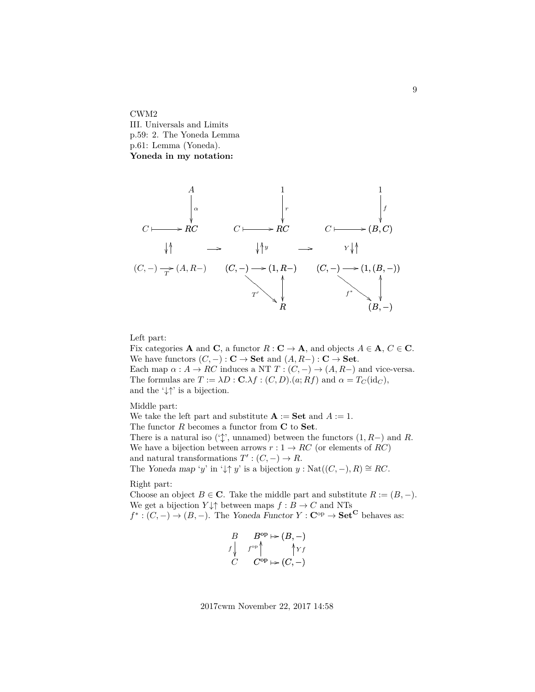CWM2 III. Universals and Limits p.59: 2. The Yoneda Lemma p.61: Lemma (Yoneda). **Yoneda in my notation:**

C RC ✤ / A α C RC ✤ / 1 r C (B, C) ✤ / 1 f (C, −) (A, R−) T / (C, −) (1 / , R −) R OO ) T 0 ! ❉ ❉ ❉ ❉ ❉ ❉ ❉ ❉ ❉ ❉ (C, −) (1 / ,(B, −)) (B, −) OO ) f ∗ # ● ● ● ● ● ● ● ● ● ● OO OO y Y OO / /

Left part:

Fix categories **A** and **C**, a functor  $R: \mathbf{C} \to \mathbf{A}$ , and objects  $A \in \mathbf{A}$ ,  $C \in \mathbf{C}$ . We have functors  $(C, -): \mathbf{C} \to \mathbf{Set}$  and  $(A, R-) : \mathbf{C} \to \mathbf{Set}$ . Each map  $\alpha : A \to RC$  induces a NT  $T : (C, -) \to (A, R-)$  and vice-versa. The formulas are  $T := \lambda D : \mathbf{C}.\lambda f : (C, D) . (a; Rf)$  and  $\alpha = T_C(\mathrm{id}_C)$ , and the  $\downarrow \uparrow$  is a bijection.

Middle part:

We take the left part and substitute  $\mathbf{A} := \mathbf{Set}$  and  $A := 1$ . The functor  $R$  becomes a functor from  $C$  to Set. There is a natural iso ( $\langle \updownarrow \rangle$ , unnamed) between the functors  $(1, R-)$  and R. We have a bijection between arrows  $r: 1 \rightarrow RC$  (or elements of RC) and natural transformations  $T' : (C, -) \to R$ . The Yoneda map 'y' in ' $\downarrow \uparrow y$ ' is a bijection  $y : \text{Nat}((C, -), R) \cong RC$ .

Right part:

Choose an object  $B \in \mathbb{C}$ . Take the middle part and substitute  $R := (B, -)$ . We get a bijection  $Y \downarrow \uparrow$  between maps  $f : B \to C$  and NTs

 $f^* : (C, -) \to (B, -)$ . The Yoneda Functor  $Y : \mathbf{C}^{op} \to \mathbf{Set}^{\mathbf{C}}$  behaves as:

$$
\begin{array}{ccc}\nB & B^{\text{op}} \mapsto (B, -) \\
f \downarrow & f^{\text{op}} \uparrow & \uparrow \gamma f \\
C & C^{\text{op}} \mapsto (C, -)\n\end{array}
$$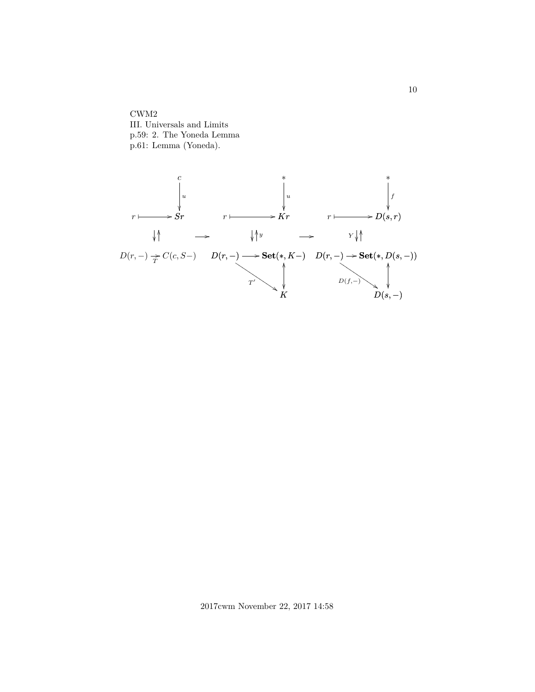CWM2 III. Universals and Limits p.59: 2. The Yoneda Lemma p.61: Lemma (Yoneda).

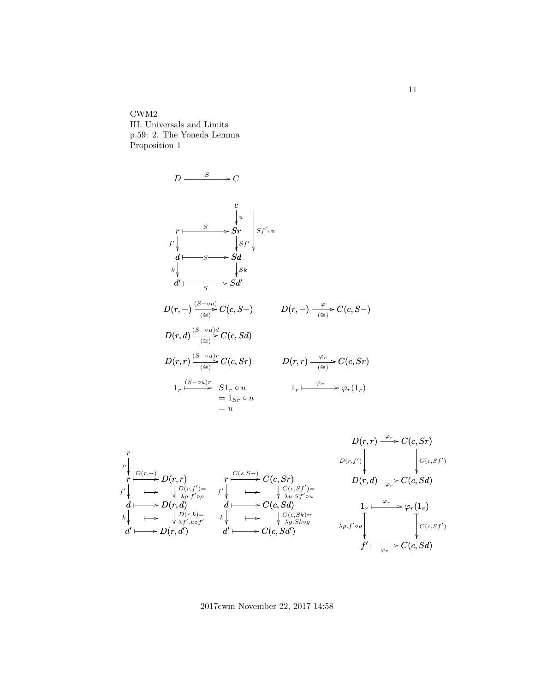CWM2 III. Universals and Limits p.59: 2. The Yoneda Lemma Proposition 1

$$
D \xrightarrow{\qquad S} C
$$
\n
$$
r \xrightarrow{\qquad C} S \rightharpoonup S \rightharpoonup S \rightharpoonup S \rightharpoonup S \rightharpoonup S \rightharpoonup S \rightharpoonup S \rightharpoonup S \rightharpoonup S \rightharpoonup S \rightharpoonup S \rightharpoonup S \rightharpoonup S \rightharpoonup S \rightharpoonup S \rightharpoonup S \rightharpoonup S \rightharpoonup S \rightharpoonup S \rightharpoonup S \rightharpoonup S \rightharpoonup S \rightharpoonup S \rightharpoonup S \rightharpoonup S \rightharpoonup S \rightharpoonup S \rightharpoonup S \rightharpoonup S \rightharpoonup S \rightharpoonup S \rightharpoonup S \rightharpoonup S \rightharpoonup S \rightharpoonup S \rightharpoonup S \rightharpoonup S \rightharpoonup S \rightharpoonup S \rightharpoonup S \rightharpoonup S \rightharpoonup S \rightharpoonup S \rightharpoonup S \rightharpoonup S \rightharpoonup S \rightharpoonup S \rightharpoonup S \rightharpoonup S \rightharpoonup S \rightharpoonup S \rightharpoonup S \rightharpoonup S \rightharpoonup S \rightharpoonup S \rightharpoonup S \rightharpoonup S \rightharpoonup S \rightharpoonup S \rightharpoonup S \rightharpoonup S \rightharpoonup S \rightharpoonup S \rightharpoonup S \rightharpoonup S \rightharpoonup S \rightharpoonup S \rightharpoonup S \rightharpoonup S \rightharpoonup S \rightharpoonup S \rightharpoonup S \rightharpoonup S \rightharpoonup S \rightharpoonup S \rightharpoonup S \rightharpoonup S \rightharpoonup S \rightharpoonup S \rightharpoonup S \rightharpoonup S \rightharpoonup S \rightharpoonup S \rightharpoonup S \rightharpoonup S \rightharpoonup S \rightharpoonup S \rightharpoonup S \rightharpoonup S \rightharpoonup S \rightharpoonup S \rightharpoonup S \rightharpoonup S \rightharpoonup S \rightharpoonup S \rightharpoonup S \rightharpoonup S \rightharpoonup S \rightharpoonup S \rightharpoonup S \rightharpoonup S \rightharpoonup S \rightharpoonup S \rightharpoonup S \
$$



2017cwm November 22, 2017 14:58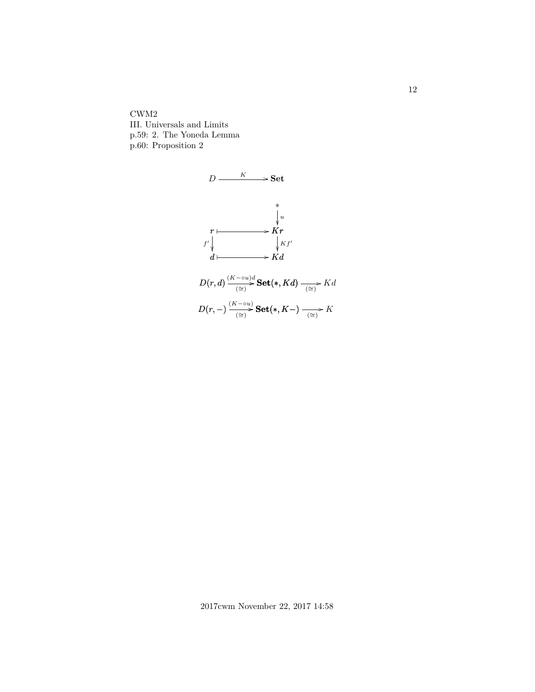CWM2 III. Universals and Limits p.59: 2. The Yoneda Lemma p.60: Proposition 2



12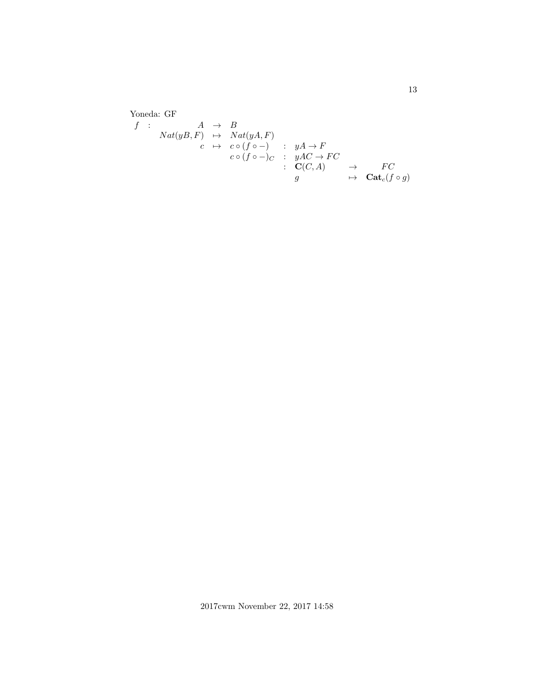Yoneda: GF  $f$  :  $A \rightarrow B$  $Nat(yB, F) \rightarrow Nat(yA, F)$  $c \mapsto c \circ (f \circ -) \quad : \quad yA \to F$  $c \circ (f \circ -)_C : yAC \to FC$ :  $\mathbf{C}(C, A) \rightarrow FC$  $g \longrightarrow \operatorname{Cat}_c(f \circ g)$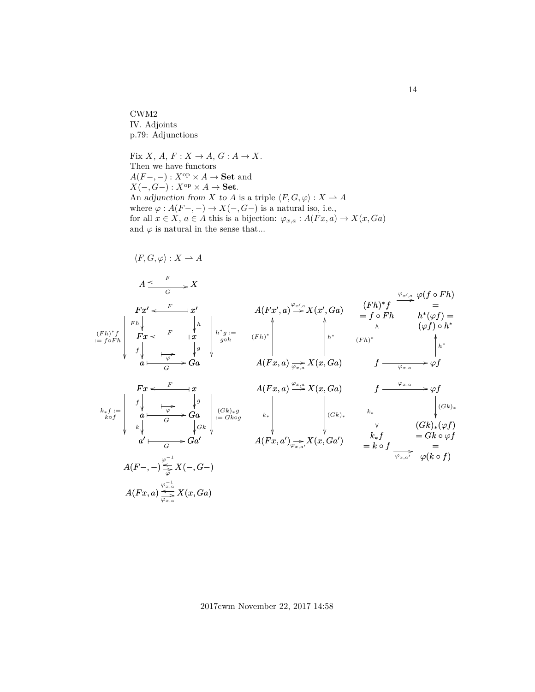CWM2 IV. Adjoints p.79: Adjunctions

Fix X, A,  $F: X \to A$ ,  $G: A \to X$ . Then we have functors  $A(F-,-): X^{\text{op}} \times A \to \mathbf{Set}$  and  $X(-, G-) : X^{op} \times A \to \mathbf{Set}.$ An adjunction from X to A is a triple  $\langle F, G, \varphi \rangle : X \to A$ where  $\varphi: A(F-,-) \to X(-,G-)$  is a natural iso, i.e., for all  $x \in X$ ,  $a \in A$  this is a bijection:  $\varphi_{x,a} : A(Fx, a) \to X(x, Ga)$ and  $\varphi$  is natural in the sense that...

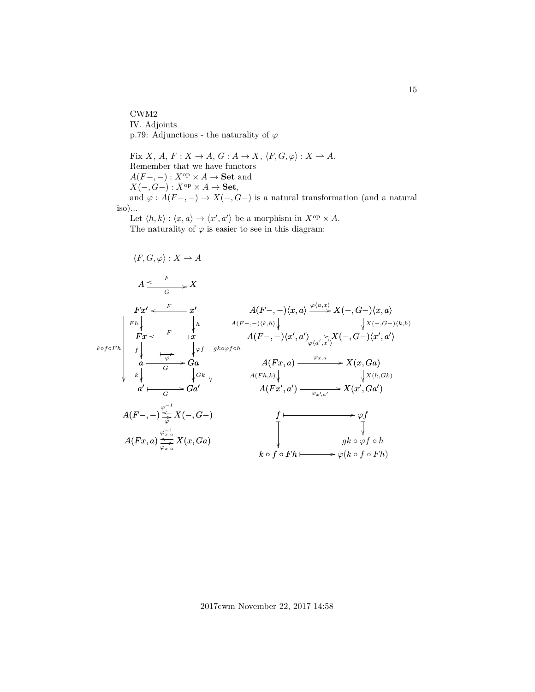CWM2 IV. Adjoints p.79: Adjunctions - the naturality of  $\varphi$ 

Fix  $X,$   $A,$   $F: X \rightarrow A,$   $G: A \rightarrow X,$   $\langle F, G, \varphi \rangle : X \rightharpoonup A.$ Remember that we have functors  $A(F-,-): X^{\text{op}} \times A \to \mathbf{Set}$  and  $X(-, G-) : X^{op} \times A \to \mathbf{Set},$ and  $\varphi: A(F-,-) \to X(-,G-)$  is a natural transformation (and a natural iso)...

Let  $\langle h, k \rangle : \langle x, a \rangle \to \langle x', a' \rangle$  be a morphism in  $X^{\text{op}} \times A$ . The naturality of  $\varphi$  is easier to see in this diagram:

$$
\langle F, G, \varphi \rangle : X \to A
$$
\n
$$
A \xrightarrow{\epsilon} X
$$
\n
$$
F x' \xleftarrow{\epsilon} x'
$$
\n
$$
F n \downarrow \qquad A(F-, -) \langle x, a \rangle \xrightarrow{\varphi(a, x)} X(-, G-) \langle x, a \rangle
$$
\n
$$
F x \xleftarrow{\epsilon} x'
$$
\n
$$
A(F-, -) \langle x, a \rangle \xrightarrow{\varphi(a, x)} X(-, G-) \langle x, a \rangle
$$
\n
$$
\downarrow x \langle -, G- \rangle \langle x, a \rangle
$$
\n
$$
\downarrow x \langle -, G- \rangle \langle x, a \rangle
$$
\n
$$
\downarrow x \langle -, G- \rangle \langle x, a \rangle
$$
\n
$$
\downarrow x \langle -, G- \rangle \langle x, a \rangle
$$
\n
$$
\downarrow x \langle -, G- \rangle \langle x, a \rangle
$$
\n
$$
\downarrow x \langle -, G- \rangle \langle x, a \rangle
$$
\n
$$
\downarrow x \langle -, G- \rangle \langle x, a \rangle
$$
\n
$$
\downarrow x \langle -, G- \rangle \langle x, a \rangle
$$
\n
$$
\downarrow x \langle -, G- \rangle \langle x, a \rangle
$$
\n
$$
\downarrow x \langle x, G a \rangle
$$
\n
$$
\downarrow x \langle x, G a \rangle
$$
\n
$$
\downarrow x \langle x, G a \rangle
$$
\n
$$
\downarrow x \langle x, G a \rangle
$$
\n
$$
\downarrow x \langle x, G a \rangle
$$
\n
$$
\downarrow x \langle x, G a \rangle
$$
\n
$$
\downarrow x \langle x, G a \rangle
$$
\n
$$
\downarrow x \langle x, G a \rangle
$$
\n
$$
\downarrow x \langle x, G a \rangle
$$
\n
$$
\downarrow x \langle x, G a \rangle
$$
\n
$$
\downarrow x \langle x, G a \rangle
$$
\n
$$
\downarrow x \langle x, G a \rangle
$$
\n
$$
\downarrow x \langle x, G a \rangle
$$
\n
$$
\downarrow x \langle x, G a \rangle
$$
\n
$$
\downarrow x \langle x, G a \rangle
$$
\n
$$
\downarrow x \langle x, G a \rangle
$$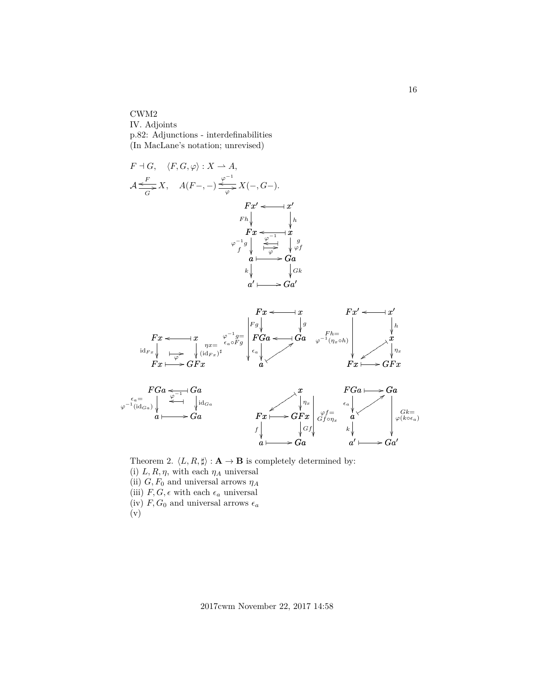CWM2

IV. Adjoints p.82: Adjunctions - interdefinabilities (In MacLane's notation; unrevised)



Theorem 2.  $\langle L, R, \sharp \rangle : \mathbf{A} \to \mathbf{B}$  is completely determined by: (i)  $L, R, \eta$ , with each  $\eta_A$  universal (ii)  $G, F_0$  and universal arrows  $\eta_A$ (iii)  $F, G, \epsilon$  with each  $\epsilon_a$  universal (iv)  $F, G_0$  and universal arrows  $\epsilon_a$ (v)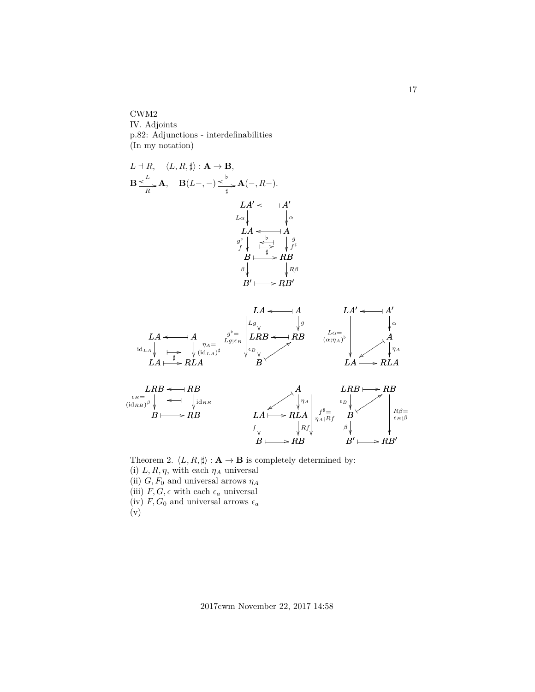CWM2 IV. Adjoints p.82: Adjunctions - interdefinabilities (In my notation)

L a R, hL, R, ]i : A → B, B o L R /A, B(L−, −) o [ ] /A(−, R−). LA<sup>0</sup> o A<sup>0</sup> ✤ LA Lα A α LA o ✤ B g [ f RB g f ] o [ ✤ ] B ✤ / B0 β RB<sup>0</sup> Rβ ✤ / LA A o ✤ LA LA idLA RLA ηA= (idLA) ] LA ✤ / ✤ ] LRB RB o ✤ LRB B B= (idRB) β RB idRB B ✤ / o ✤ LA A o ✤ LA LRB Lg RB g LRB o ✤ B <sup>B</sup> : ✹tttttttt g [= Lg;<sup>B</sup> A LA ✹ zt t t t t t t RLA η<sup>A</sup> LA ✤ / B RB B ✤ / f Rf f ]= ηA;Rf LA<sup>0</sup> o A<sup>0</sup> ✤ LA Lα= (α;ηA) [ A α ✹ zt t t t t t t RLA η<sup>A</sup> LA ✤ / LRB RB ✤ / B <sup>B</sup> : ✹tttttttt RB<sup>0</sup> B0 ✤ / Rβ= B;β β 

Theorem 2.  $\langle L, R, \sharp \rangle : \mathbf{A} \to \mathbf{B}$  is completely determined by: (i)  $L, R, \eta$ , with each  $\eta_A$  universal (ii)  $G, F_0$  and universal arrows  $\eta_A$ (iii)  $F,G,\epsilon$  with each  $\epsilon_a$  universal (iv)  $F, G_0$  and universal arrows  $\epsilon_a$ (v)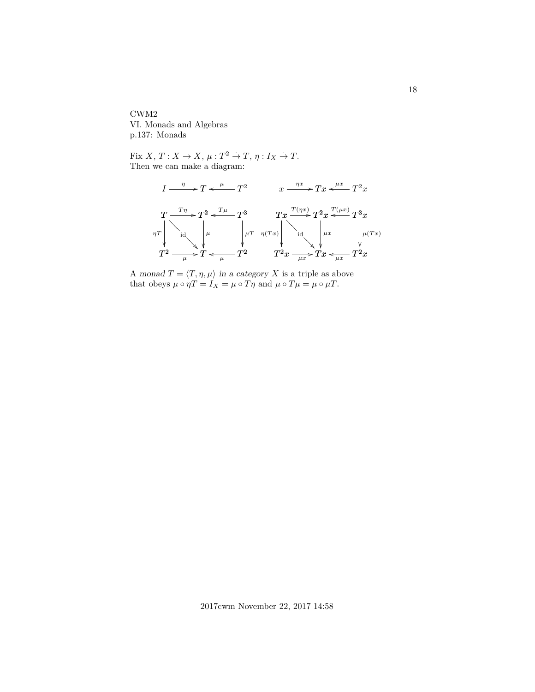CWM2 VI. Monads and Algebras p.137: Monads

Fix X,  $T: X \to X$ ,  $\mu: T^2 \to T$ ,  $\eta: I_X \to T$ . Then we can make a diagram:



A monad  $T = \langle T, \eta, \mu \rangle$  in a category X is a triple as above that obeys  $\mu \circ \eta T = I_X = \mu \circ T \eta$  and  $\mu \circ T \mu = \mu \circ \mu T$ .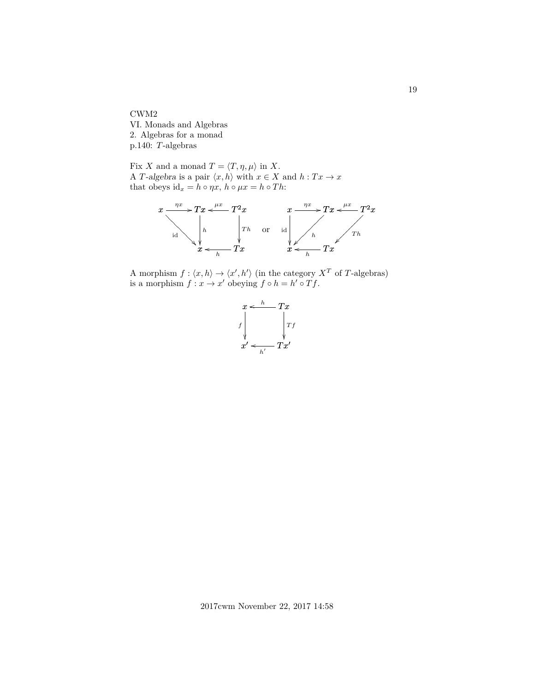CWM2 VI. Monads and Algebras 2. Algebras for a monad p.140: T-algebras

Fix X and a monad  $T = \langle T, \eta, \mu \rangle$  in X. A T-algebra is a pair  $\langle x, h \rangle$  with  $x \in X$  and  $h : Tx \to x$ that obeys  $id_x = h \circ \eta x$ ,  $h \circ \mu x = h \circ Th$ :



A morphism  $f: \langle x, h \rangle \to \langle x', h' \rangle$  (in the category  $X^T$  of T-algebras) is a morphism  $f: x \to x'$  obeying  $f \circ h = h' \circ Tf$ .

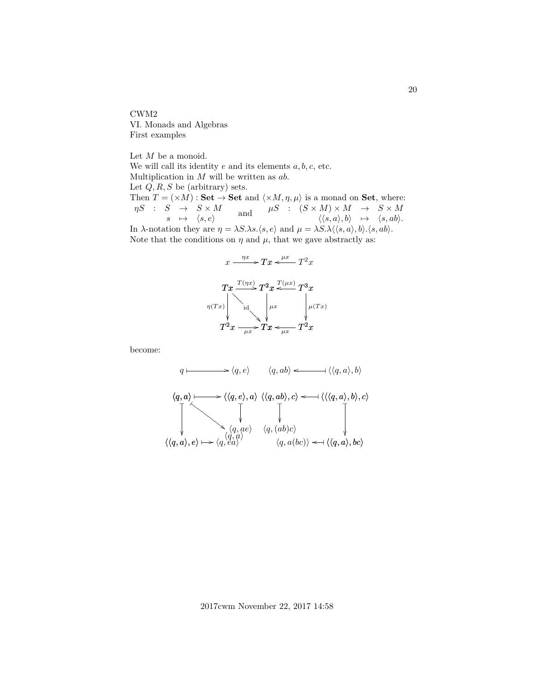CWM2 VI. Monads and Algebras First examples

Let  $M$  be a monoid. We will call its identity  $e$  and its elements  $a, b, c$ , etc. Multiplication in  $M$  will be written as  $ab$ . Let  $Q, R, S$  be (arbitrary) sets. Then  $T = (\times M) : \mathbf{Set} \to \mathbf{Set}$  and  $\langle \times M, \eta, \mu \rangle$  is a monad on Set, where:  $\eta S$  :  $S \rightarrow S \times M$  $\begin{array}{lccc} S & \to & S \times M\ s & \mapsto & \langle s, e\rangle \end{array} \quad \quad \text{and} \quad \quad \begin{array}{ccc} \mu S & : & (S \times M) \times M & \to & S \times M\ \langle \langle s, a\rangle, b\rangle & \mapsto & \langle s, ab\rangle. \end{array}$ In  $\lambda$ -notation they are  $\eta = \lambda S \cdot \lambda s \cdot \langle s, e \rangle$  and  $\mu = \lambda S \cdot \lambda \langle \langle s, a \rangle, b \rangle \cdot \langle s, ab \rangle$ . Note that the conditions on  $\eta$  and  $\mu$ , that we gave abstractly as:



become:

$$
q \longmapsto \langle q, e \rangle \qquad \langle q, ab \rangle \longleftarrow \langle \langle q, a \rangle, b \rangle
$$
  

$$
\langle q, a \rangle \longmapsto \langle \langle q, e \rangle, a \rangle \langle \langle q, ab \rangle, c \rangle \longleftarrow \langle \langle \langle q, a \rangle, b \rangle, c \rangle
$$
  

$$
\downarrow \qquad \qquad \downarrow \qquad \qquad \downarrow
$$
  

$$
\langle q, a e \rangle \qquad \langle q, (ab)c \rangle
$$
  

$$
\langle \langle q, a \rangle, e \rangle \longmapsto \langle q, e a \rangle \qquad \langle q, a (bc) \rangle \longleftarrow \langle \langle q, a \rangle, bc \rangle
$$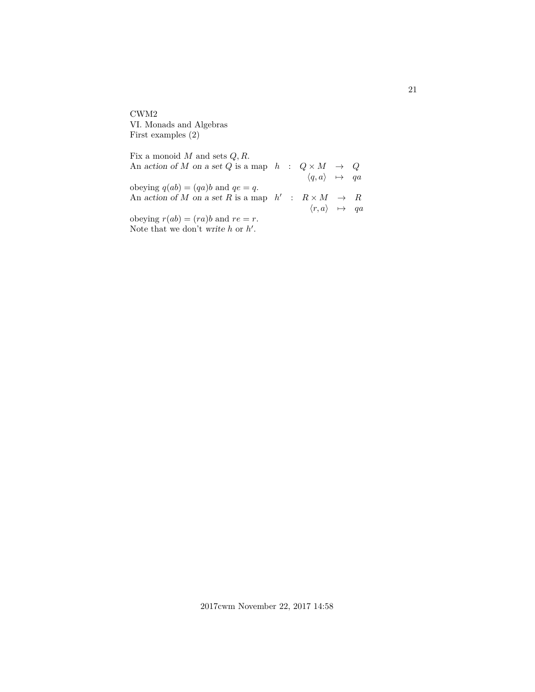CWM2 VI. Monads and Algebras First examples (2)

Fix a monoid  $M$  and sets  $Q, R$ . An action of  $M$  on a set  $Q$  is a map  $\quad \, h \quad : \quad Q \times M \quad \rightarrow \quad Q$  $\langle q, a \rangle \rightarrow qa$ obeying  $q(ab) = (qa)b$  and  $qe = q$ . An action of M on a set R is a map  $h'$  :  $R \times M \rightarrow R$  $\langle r, a \rangle \rightarrow qa$ obeying  $r(ab) = (ra)b$  and  $re = r$ . Note that we don't write  $h$  or  $h'$ .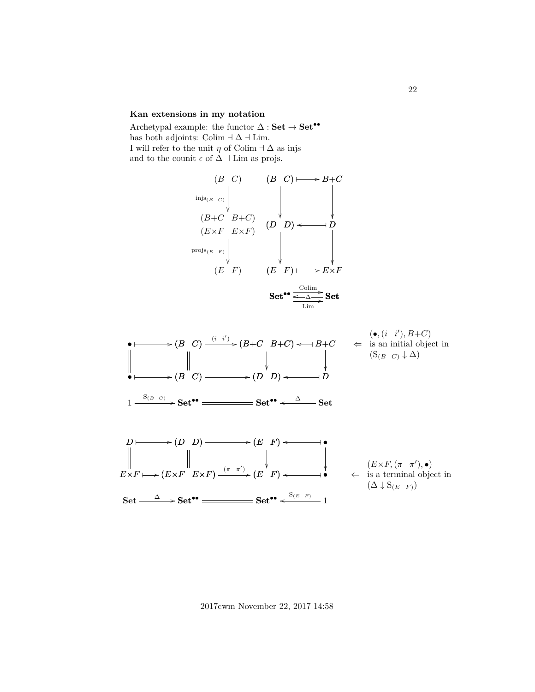## **Kan extensions in my notation**

Archetypal example: the functor  $\Delta : \mathbf{Set} \rightarrow \mathbf{Set}^{\bullet \bullet}$ has both adjoints: Colim  $\exists \Delta \exists$  Lim. I will refer to the unit  $\eta$  of Colim  $\alpha \Delta$  as injs and to the counit  $\epsilon$  of  $\Delta$  +Lim as projs.





2017cwm November 22, 2017 14:58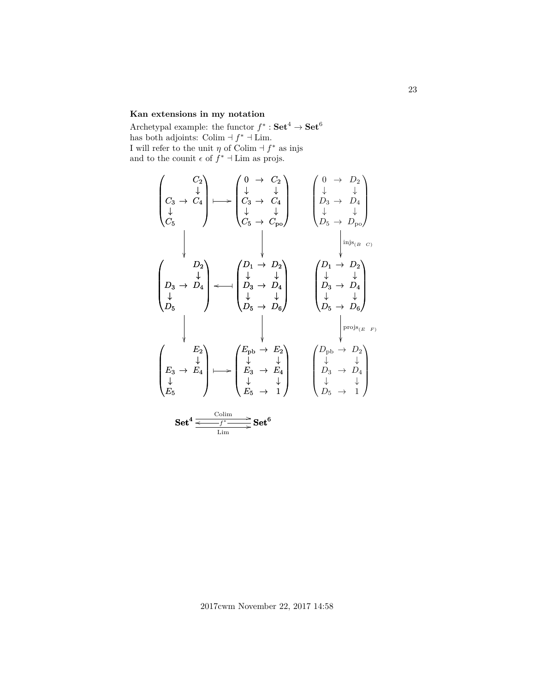## **Kan extensions in my notation**

Archetypal example: the functor  $f^* : \mathbf{Set}^4 \to \mathbf{Set}^6$ has both adjoints: Colim  $\exists f^* \exists$  Lim. I will refer to the unit  $\eta$  of Colim  $\eta^*$  as injs and to the counit  $\epsilon$  of  $f^*$  + Lim as projs.

$$
\begin{pmatrix}\nC_2 \\
C_3 & \rightarrow & C_4 \\
\downarrow & & \downarrow \\
C_5 & & & \downarrow\n\end{pmatrix}\n\longmapsto\n\begin{pmatrix}\n0 & \rightarrow & C_2 \\
\downarrow & & \downarrow \\
C_3 & \rightarrow & C_4 \\
\downarrow & & \downarrow \\
C_5 & \rightarrow & C_{po}\n\end{pmatrix}\n\begin{pmatrix}\n0 & \rightarrow & D_2 \\
\downarrow & & \downarrow \\
D_3 & \rightarrow & D_4 \\
\downarrow & & \downarrow \\
D_5 & \rightarrow & D_{po}\n\end{pmatrix}
$$
\n
$$
\begin{pmatrix}\nD_2 \\
D_3 & \rightarrow & D_4 \\
D_5 & \rightarrow & D_6\n\end{pmatrix}\n\begin{pmatrix}\nD_1 \rightarrow & D_2 \\
\downarrow & & \downarrow \\
D_5 \rightarrow & D_6\n\end{pmatrix}\n\begin{pmatrix}\nD_1 \rightarrow & D_2 \\
\downarrow & & \downarrow \\
D_5 \rightarrow & D_6\n\end{pmatrix}
$$
\n
$$
\begin{pmatrix}\nE_2 \\
E_3 \rightarrow & E_4 \\
\downarrow & & \downarrow \\
E_5\n\end{pmatrix}\n\longmapsto\n\begin{pmatrix}\nE_{pb} \rightarrow & E_2 \\
\downarrow & & \downarrow \\
E_3 \rightarrow & E_4 \\
E_5 \rightarrow & & \downarrow\n\end{pmatrix}\n\begin{pmatrix}\nD_{pb} \rightarrow & D_2 \\
\downarrow & & \downarrow \\
D_3 \rightarrow & D_4 \\
D_5 \rightarrow & & \downarrow\n\end{pmatrix}
$$
\nSet<sup>4</sup>  $\frac{\text{Colim}}{\text{Hom}}$  Set<sup>6</sup>

2017cwm November 22, 2017 14:58